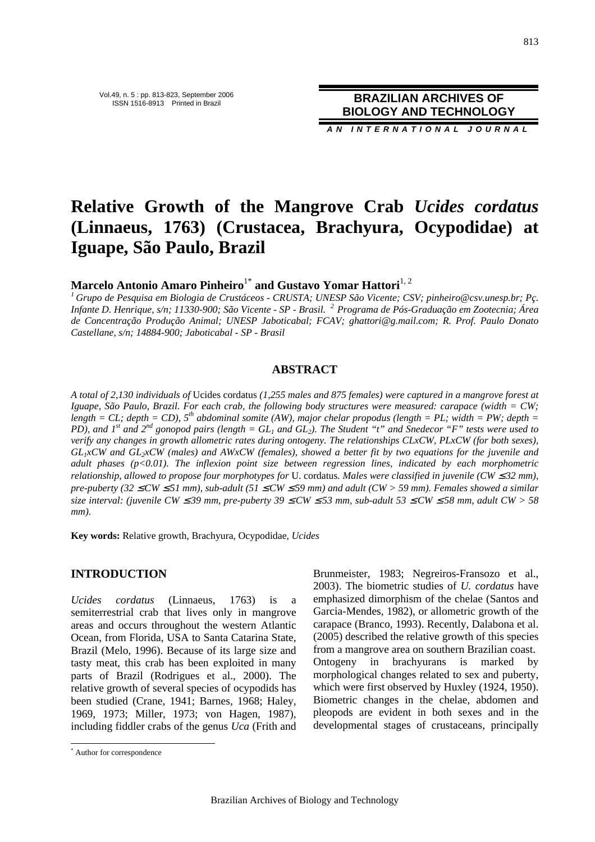**BRAZILIAN ARCHIVES OF BIOLOGY AND TECHNOLOGY**

**A N I N T E R N A T I O N A L J O U R N A L**

# **Relative Growth of the Mangrove Crab** *Ucides cordatus* **(Linnaeus, 1763) (Crustacea, Brachyura, Ocypodidae) at Iguape, São Paulo, Brazil**

**Marcelo Antonio Amaro Pinheiro<sup>1\*</sup> and Gustavo Yomar Hattori<sup>1, 2</sup>** 

*<sup>1</sup>Grupo de Pesquisa em Biologia de Crustáceos - CRUSTA; UNESP São Vicente; CSV; pinheiro@csv.unesp.br; Pç. Infante D. Henrique, s/n; 11330-900; São Vicente - SP - Brasil. <sup>2</sup>Programa de Pós-Graduação em Zootecnia; Área de Concentração Produção Animal; UNESP Jaboticabal; FCAV; ghattori@g.mail.com; R. Prof. Paulo Donato Castellane, s/n; 14884-900; Jaboticabal - SP - Brasil* 

## **ABSTRACT**

*A total of 2,130 individuals of* Ucides cordatus *(1,255 males and 875 females) were captured in a mangrove forest at Iguape, São Paulo, Brazil. For each crab, the following body structures were measured: carapace (width = CW; length* = CL; depth = CD),  $5^{th}$  abdominal somite (AW), major chelar propodus (length = PL; width = PW; depth = *PD), and 1<sup>st</sup>* and  $2^{nd}$  gonopod pairs (length =  $GL_1$  and  $GL_2$ ). The Student "t" and Snedecor "F" tests were used to *verify any changes in growth allometric rates during ontogeny. The relationships CLxCW, PLxCW (for both sexes), GL1xCW and GL2xCW (males) and AWxCW (females), showed a better fit by two equations for the juvenile and adult phases (p<0.01). The inflexion point size between regression lines, indicated by each morphometric relationship, allowed to propose four morphotypes for U.* cordatus. Males were classified in juvenile (CW  $\leq$  32 mm), *pre-puberty (32* ≤ *CW* ≤ *51 mm), sub-adult (51* ≤ *CW* ≤ *59 mm) and adult (CW > 59 mm). Females showed a similar size interval: (juvenile CW ≤* 39 mm, pre-puberty 39 ≤ *CW ≤* 53 mm, sub-adult 53 ≤ *CW ≤* 58 mm, adult *CW >* 58 *mm).* 

**Key words:** Relative growth, Brachyura, Ocypodidae, *Ucides*

## **INTRODUCTION**

*Ucides cordatus* (Linnaeus, 1763) is a semiterrestrial crab that lives only in mangrove areas and occurs throughout the western Atlantic Ocean, from Florida, USA to Santa Catarina State, Brazil (Melo, 1996). Because of its large size and tasty meat, this crab has been exploited in many parts of Brazil (Rodrigues et al., 2000). The relative growth of several species of ocypodids has been studied (Crane, 1941; Barnes, 1968; Haley, 1969, 1973; Miller, 1973; von Hagen, 1987), including fiddler crabs of the genus *Uca* (Frith and

 $\overline{a}$ 

Brunmeister, 1983; Negreiros-Fransozo et al., 2003). The biometric studies of *U. cordatus* have emphasized dimorphism of the chelae (Santos and Garcia-Mendes, 1982), or allometric growth of the carapace (Branco, 1993). Recently, Dalabona et al. (2005) described the relative growth of this species from a mangrove area on southern Brazilian coast. Ontogeny in brachyurans is marked by morphological changes related to sex and puberty, which were first observed by Huxley (1924, 1950). Biometric changes in the chelae, abdomen and pleopods are evident in both sexes and in the developmental stages of crustaceans, principally

<sup>\*</sup> Author for correspondence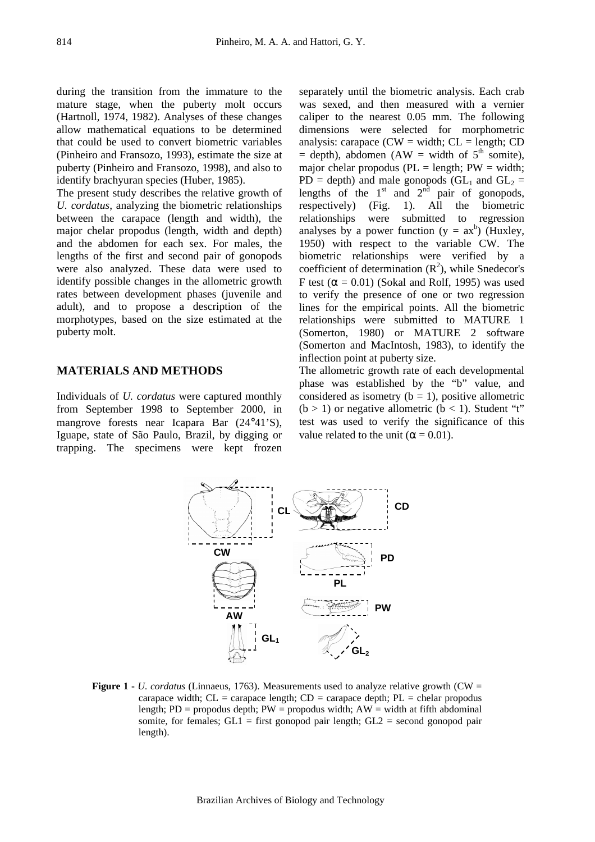during the transition from the immature to the mature stage, when the puberty molt occurs (Hartnoll, 1974, 1982). Analyses of these changes allow mathematical equations to be determined that could be used to convert biometric variables (Pinheiro and Fransozo, 1993), estimate the size at puberty (Pinheiro and Fransozo, 1998), and also to identify brachyuran species (Huber, 1985).

The present study describes the relative growth of *U. cordatus*, analyzing the biometric relationships between the carapace (length and width), the major chelar propodus (length, width and depth) and the abdomen for each sex. For males, the lengths of the first and second pair of gonopods were also analyzed. These data were used to identify possible changes in the allometric growth rates between development phases (juvenile and adult), and to propose a description of the morphotypes, based on the size estimated at the puberty molt.

### **MATERIALS AND METHODS**

Individuals of *U. cordatus* were captured monthly from September 1998 to September 2000, in mangrove forests near Icapara Bar (24°41'S), Iguape, state of São Paulo, Brazil, by digging or trapping. The specimens were kept frozen

separately until the biometric analysis. Each crab was sexed, and then measured with a vernier caliper to the nearest 0.05 mm. The following dimensions were selected for morphometric analysis: carapace ( $CW = width$ ;  $CL = length$ ;  $CD$ )  $=$  depth), abdomen (AW  $=$  width of 5<sup>th</sup> somite), major chelar propodus ( $PL = length$ ;  $PW = width$ ;  $PD =$  depth) and male gonopods (GL<sub>1</sub> and GL<sub>2</sub> = lengths of the  $1<sup>st</sup>$  and  $2<sup>nd</sup>$  pair of gonopods, respectively) (Fig. 1). All the biometric relationships were submitted to regression analyses by a power function  $(y = ax^b)$  (Huxley, 1950) with respect to the variable CW. The biometric relationships were verified by a coefficient of determination  $(R^2)$ , while Snedecor's F test ( $\alpha$  = 0.01) (Sokal and Rolf, 1995) was used to verify the presence of one or two regression lines for the empirical points. All the biometric relationships were submitted to MATURE 1 (Somerton, 1980) or MATURE 2 software (Somerton and MacIntosh, 1983), to identify the inflection point at puberty size.

The allometric growth rate of each developmental phase was established by the "b" value, and considered as isometry ( $b = 1$ ), positive allometric  $(b > 1)$  or negative allometric  $(b < 1)$ . Student "t" test was used to verify the significance of this value related to the unit ( $\alpha = 0.01$ ).



**Figure 1 -** *U. cordatus* (Linnaeus, 1763). Measurements used to analyze relative growth (CW = carapace width;  $CL =$  carapace length;  $CD =$  carapace depth;  $PL =$  chelar propodus length;  $PD =$  propodus depth;  $PW =$  propodus width;  $AW =$  width at fifth abdominal somite, for females;  $GL1 =$  first gonopod pair length;  $GL2 =$  second gonopod pair length).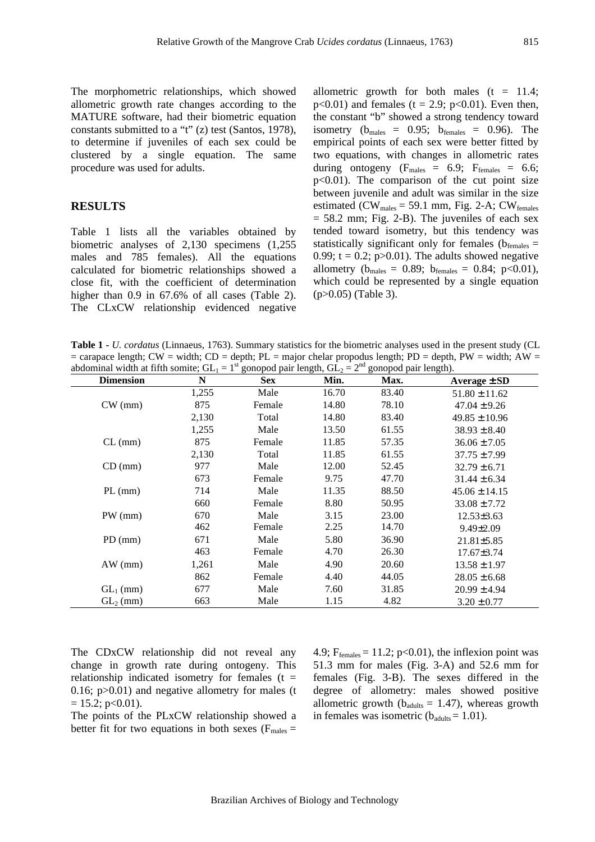The morphometric relationships, which showed allometric growth rate changes according to the MATURE software, had their biometric equation constants submitted to a "t" (z) test (Santos, 1978), to determine if juveniles of each sex could be clustered by a single equation. The same procedure was used for adults.

## **RESULTS**

Table 1 lists all the variables obtained by biometric analyses of 2,130 specimens (1,255 males and 785 females). All the equations calculated for biometric relationships showed a close fit, with the coefficient of determination higher than 0.9 in 67.6% of all cases (Table 2). The CLxCW relationship evidenced negative

allometric growth for both males  $(t = 11.4;$  $p<0.01$ ) and females (t = 2.9;  $p<0.01$ ). Even then, the constant "b" showed a strong tendency toward isometry ( $b_{\text{males}} = 0.95$ ;  $b_{\text{females}} = 0.96$ ). The empirical points of each sex were better fitted by two equations, with changes in allometric rates during ontogeny  $(F_{\text{males}} = 6.9; F_{\text{females}} = 6.6;$  $p<0.01$ ). The comparison of the cut point size between juvenile and adult was similar in the size estimated (CW<sub>males</sub> = 59.1 mm, Fig. 2-A; CW<sub>females</sub>  $= 58.2$  mm; Fig. 2-B). The juveniles of each sex tended toward isometry, but this tendency was statistically significant only for females ( $b_{\text{females}} =$ 0.99;  $t = 0.2$ ;  $p > 0.01$ ). The adults showed negative allometry ( $b_{\text{males}} = 0.89$ ;  $b_{\text{females}} = 0.84$ ; p<0.01), which could be represented by a single equation (p>0.05) (Table 3).

**Table 1 -** *U. cordatus* (Linnaeus, 1763). Summary statistics for the biometric analyses used in the present study (CL  $=$  carapace length; CW  $=$  width; CD  $=$  depth; PL  $=$  major chelar propodus length; PD  $=$  depth, PW  $=$  width; AW  $=$ abdominal width at fifth somite;  $GL_1 = 1^{st}$  gonopod pair length,  $GL_2 = 2^{nd}$  gonopod pair length).

| <b>Dimension</b> | N     | <b>Sex</b> | Min.  | Max.  | Average $\pm$ SD  |
|------------------|-------|------------|-------|-------|-------------------|
|                  | 1,255 | Male       | 16.70 | 83.40 | $51.80 \pm 11.62$ |
| $CW$ (mm)        | 875   | Female     | 14.80 | 78.10 | $47.04 \pm 9.26$  |
|                  | 2,130 | Total      | 14.80 | 83.40 | $49.85 \pm 10.96$ |
|                  | 1,255 | Male       | 13.50 | 61.55 | $38.93 \pm 8.40$  |
| $CL$ (mm)        | 875   | Female     | 11.85 | 57.35 | $36.06 \pm 7.05$  |
|                  | 2,130 | Total      | 11.85 | 61.55 | $37.75 \pm 7.99$  |
| CD (mm)          | 977   | Male       | 12.00 | 52.45 | $32.79 \pm 6.71$  |
|                  | 673   | Female     | 9.75  | 47.70 | $31.44 \pm 6.34$  |
| $PL$ (mm)        | 714   | Male       | 11.35 | 88.50 | $45.06 \pm 14.15$ |
|                  | 660   | Female     | 8.80  | 50.95 | $33.08 \pm 7.72$  |
| PW (mm)          | 670   | Male       | 3.15  | 23.00 | $12.53\pm3.63$    |
|                  | 462   | Female     | 2.25  | 14.70 | $9.49 \pm 2.09$   |
| $PD$ (mm)        | 671   | Male       | 5.80  | 36.90 | $21.81 \pm 5.85$  |
|                  | 463   | Female     | 4.70  | 26.30 | $17.67 \pm 3.74$  |
| AW (mm)          | 1,261 | Male       | 4.90  | 20.60 | $13.58 \pm 1.97$  |
|                  | 862   | Female     | 4.40  | 44.05 | $28.05 \pm 6.68$  |
| $GL_1$ (mm)      | 677   | Male       | 7.60  | 31.85 | $20.99 \pm 4.94$  |
| $GL_2$ (mm)      | 663   | Male       | 1.15  | 4.82  | $3.20 \pm 0.77$   |

The CDxCW relationship did not reveal any change in growth rate during ontogeny. This relationship indicated isometry for females  $(t =$ 0.16; p>0.01) and negative allometry for males (t  $= 15.2$ ; p<0.01).

The points of the PLxCW relationship showed a better fit for two equations in both sexes ( $F_{\text{males}} =$ 

4.9;  $F_{\text{females}} = 11.2$ ; p<0.01), the inflexion point was 51.3 mm for males (Fig. 3-A) and 52.6 mm for females (Fig. 3-B). The sexes differed in the degree of allometry: males showed positive allometric growth ( $b_{\text{adults}} = 1.47$ ), whereas growth in females was isometric  $(b_{adults} = 1.01)$ .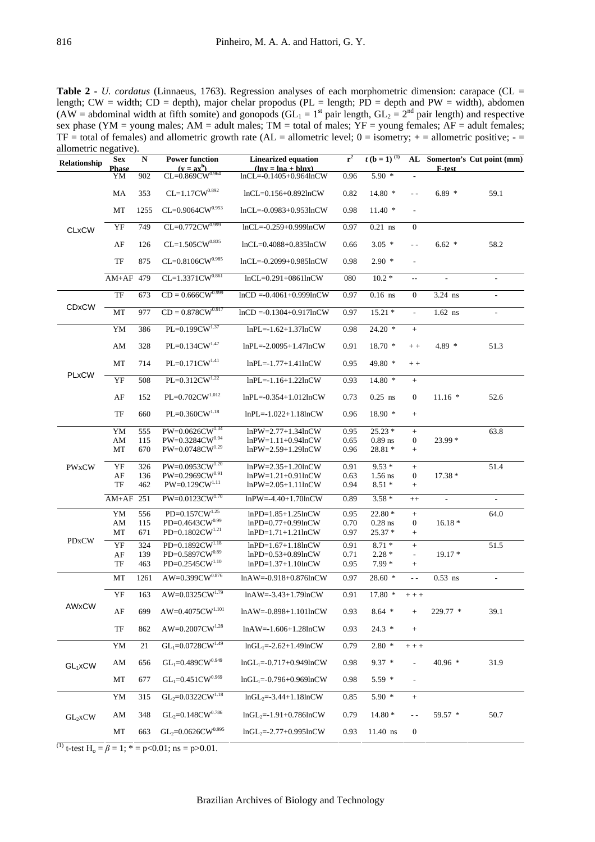**Table 2 -** *U. cordatus* (Linnaeus, 1763). Regression analyses of each morphometric dimension: carapace (CL = length; CW = width; CD = depth), major chelar propodus (PL = length; PD = depth and PW = width), abdomen (AW = abdominal width at fifth somite) and gonopods (GL<sub>1</sub> = 1<sup>st</sup> pair length, GL<sub>2</sub> = 2<sup>nd</sup> pair length) and respective sex phase (YM = young males;  $AM =$  adult males; TM = total of males; YF = young females;  $AF =$  adult females;  $TF = total of females)$  and allometric growth rate (AL = allometric level;  $0 = isometry$ ;  $+$  = allometric positive;  $$ allometric negative).

| Relationship | <b>Sex</b><br><b>Phase</b> | N    | <b>Power function</b><br>$(\mathbf{v} = \mathbf{a}\mathbf{x}^{\mathrm{b}})$ | <b>Linearized equation</b><br>$(\ln v = \ln a + \ln x)$ | $r^2$ | $t(b=1)^{(1)}$ | AL                       | F-test                   | Somerton's Cut point (mm) |
|--------------|----------------------------|------|-----------------------------------------------------------------------------|---------------------------------------------------------|-------|----------------|--------------------------|--------------------------|---------------------------|
|              | YM                         | 902  | $CL = 0.869CW^{0.964}$                                                      | $lnCL = -0.1405 + 0.964lnCW$                            | 0.96  | $5.90*$        |                          |                          |                           |
| <b>CLxCW</b> | MA                         | 353  | $CL=1.17CW^{0.892}$                                                         | $lnCL = 0.156 + 0.892lnCW$                              | 0.82  | 14.80 *        | $\overline{a}$           | $6.89*$                  | 59.1                      |
|              | MT                         | 1255 | $CL=0.9064CW^{0.953}$                                                       | $lnCL = -0.0983 + 0.953lnCW$                            | 0.98  | $11.40*$       | $\overline{\phantom{a}}$ |                          |                           |
|              | YF                         | 749  | $CL=0.772CW^{0.999}$                                                        | $lnCL = -0.259 + 0.999lnCW$                             | 0.97  | $0.21$ ns      | $\mathbf{0}$             |                          |                           |
|              | $\rm AF$                   | 126  | $CL=1.505CW^{0.835}$                                                        | $lnCL = 0.4088 + 0.835lnCW$                             | 0.66  | $3.05*$        | $\sim$ $\sim$            | $6.62*$                  | 58.2                      |
|              | TF                         | 875  | $CL = 0.8106 CW^{0.985}$                                                    | $lnCL = -0.2099 + 0.985 lnCW$                           | 0.98  | $2.90*$        | $\overline{\phantom{a}}$ |                          |                           |
|              | $AM+AF$                    | 479  | $CL=1.3371CW^{0.861}$                                                       | $lnCL = 0.291 + 0861lnCW$                               | 080   | $10.2*$        | $\overline{\phantom{a}}$ | $\overline{\phantom{a}}$ | $\overline{\phantom{a}}$  |
| <b>CDxCW</b> | TF                         | 673  | $CD = 0.666 CW^{0.999}$                                                     | $lnCD = -0.4061 + 0.999lnCW$                            | 0.97  | $0.16$ ns      | $\boldsymbol{0}$         | 3.24 ns                  | $\overline{\phantom{a}}$  |
|              | МT                         | 977  | $CD = 0.878CW^{0.917}$                                                      | $lnCD = -0.1304 + 0.917lnCW$                            | 0.97  | $15.21 *$      | $\overline{\phantom{a}}$ | $1.62$ ns                | $\overline{\phantom{a}}$  |
|              | YM                         | 386  | PL=0.199CW <sup>1.37</sup>                                                  | $lnPL = -1.62 + 1.37lnCW$                               | 0.98  | 24.20 *        | $+$                      |                          |                           |
|              | AM                         | 328  | $PL=0.134CW^{1.47}$                                                         | $lnPL = -2.0095 + 1.47lnCW$                             | 0.91  | $18.70*$       | $+ +$                    | $4.89*$                  | 51.3                      |
|              | MT                         | 714  | $PL=0.171CW^{1.41}$                                                         | $lnPL = -1.77 + 1.41lnCW$                               | 0.95  | 49.80 *        | $++$                     |                          |                           |
| <b>PLxCW</b> | YF                         | 508  | $PL=0.312CW^{1.22}$                                                         | $lnPL = -1.16 + 1.22lnCW$                               | 0.93  | 14.80 *        | $^{+}$                   |                          |                           |
|              | AF                         | 152  | PL=0.702CW <sup>1.012</sup>                                                 | $lnPL = -0.354 + 1.012lnCW$                             | 0.73  | $0.25$ ns      | $\boldsymbol{0}$         | $11.16*$                 | 52.6                      |
|              | TF                         | 660  | $PL=0.360CW^{1.18}$                                                         | $lnPL = -1.022 + 1.18 lnCW$                             | 0.96  | $18.90*$       | $^{+}$                   |                          |                           |
|              | YM                         | 555  | $PW=0.0626CW^{1.34}$                                                        | $lnPW=2.77+1.34lnCW$                                    | 0.95  | $25.23*$       | $+$                      |                          | 63.8                      |
|              | AM                         | 115  | PW=0.3284CW0.94                                                             | $lnPW=1.11+0.94lnCW$                                    | 0.65  | $0.89$ ns      | $\boldsymbol{0}$         | 23.99 *                  |                           |
|              | MT                         | 670  | $PW=0.0748CW^{1.29}$                                                        | $lnPW=2.59+1.29lnCW$                                    | 0.96  | 28.81 *        | $^{+}$                   |                          |                           |
| PWxCW        | YF                         | 326  | PW=0.0953CW <sup>1.20</sup>                                                 | $lnPW=2.35+1.20lnCW$                                    | 0.91  | $9.53*$        | $+$                      |                          | 51.4                      |
|              | AF                         | 136  | PW=0.2969CW0.91                                                             | $lnPW=1.21+0.91lnCW$                                    | 0.63  | $1.56$ ns      | 0                        | $17.38*$                 |                           |
|              | TF                         | 462  | PW=0.129CW <sup>1.11</sup>                                                  | $lnPW=2.05+1.11lnCW$                                    | 0.94  | $8.51*$        | $\boldsymbol{+}$         |                          |                           |
|              | $AM+AF$                    | 251  | $PW=0.0123CW^{1.70}$                                                        | $lnPW=-4.40+1.70lnCW$                                   | 0.89  | $3.58*$        | $++$                     |                          |                           |
|              | YM                         | 556  | $PD=0.157CW^{1.25}$                                                         | $lnPD=1.85+1.25lnCW$                                    | 0.95  | $22.80*$       | $^{+}$                   |                          | 64.0                      |
|              | AM                         | 115  | PD=0.4643CW $^{0.99}$                                                       | $lnPD=0.77+0.99lnCW$                                    | 0.70  | $0.28$ ns      | 0                        | $16.18*$                 |                           |
| <b>PDxCW</b> | MT                         | 671  | PD=0.1802CW <sup>1.21</sup>                                                 | $lnPD=1.71+1.21lnCW$                                    | 0.97  | 25.37 *        | $\! + \!\!\!\!$          |                          |                           |
|              | YF                         | 324  | $PD=0.1892CW^{1.18}$                                                        | $lnPD=1.67+1.18lnCW$                                    | 0.91  | $8.71*$        | $+$                      |                          | 51.5                      |
|              | AF                         | 139  | PD=0.5897CW0.89                                                             | $lnPD=0.53+0.89lnCW$                                    | 0.71  | $2.28*$        | $\overline{\phantom{a}}$ | $19.17*$                 |                           |
|              | TF                         | 463  | $PD=0.2545CW^{1.10}$                                                        | $lnPD=1.37+1.10lnCW$                                    | 0.95  | $7.99*$        | $\! +$                   |                          |                           |
| AWxCW        | MT                         | 1261 | $AW=0.399CW^{0.876}$                                                        | $lnAW = -0.918 + 0.876lnCW$                             | 0.97  | $28.60*$       | $\sim$ $\sim$            | $0.53$ ns                |                           |
|              | YF                         | 163  | $AW=0.0325CW^{1.79}$                                                        | $lnAW = -3.43 + 1.79lnCW$                               | 0.91  | $17.80*$       | $++ +$                   |                          |                           |
|              | $\rm AF$                   | 699  | AW=0.4075CW $1.101$                                                         | $lnAW = -0.898 + 1.101lnCW$                             | 0.93  | $8.64*$        | $\! +$                   | 229.77 *                 | 39.1                      |
|              | TF                         | 862  | AW=0.2007CW <sup>1.28</sup>                                                 | $lnAW = -1.606 + 1.28lnCW$                              | 0.93  | $24.3 *$       | $+$                      |                          |                           |
| $GL_1$ xCW   | YM                         | 21   | $GL_1=0.0728CW^{1.49}$                                                      | $ln GL_1 = -2.62 + 1.49 ln CW$                          | 0.79  | $2.80*$        | $++ +$                   |                          |                           |
|              | AM                         | 656  | $GL_1=0.489CW^{0.949}$                                                      | $ln GL_1 = -0.717 + 0.949 ln CW$                        | 0.98  | $9.37 *$       |                          | 40.96 *                  | 31.9                      |
|              | MT                         | 677  | $GL_1=0.451CW^{0.969}$                                                      | $ln GL_1 = -0.796 + 0.969 ln CW$                        | 0.98  | $5.59*$        | $\overline{\phantom{a}}$ |                          |                           |
| $GL_2XCW$    | YM                         | 315  | $GL_2=0.0322CW^{1.18}$                                                      | $ln GL_2 = -3.44 + 1.18 ln CW$                          | 0.85  | $5.90*$        | $^{+}$                   |                          |                           |
|              | AM                         | 348  | $GL_2=0.148CW^{0.786}$                                                      | $ln GL_2 = -1.91 + 0.786 ln CW$                         | 0.79  | $14.80*$       | $\sim$ $\sim$            | 59.57 *                  | 50.7                      |
|              | MT                         | 663  | $GL_2=0.0626CW^{0.995}$                                                     | $ln GL_2 = -2.77 + 0.995 ln CW$                         | 0.93  | 11.40 ns       | 0                        |                          |                           |

<sup>(1)</sup> t-test H<sub>0</sub> =  $\beta$  = 1; \* = p<0.01; ns = p>0.01.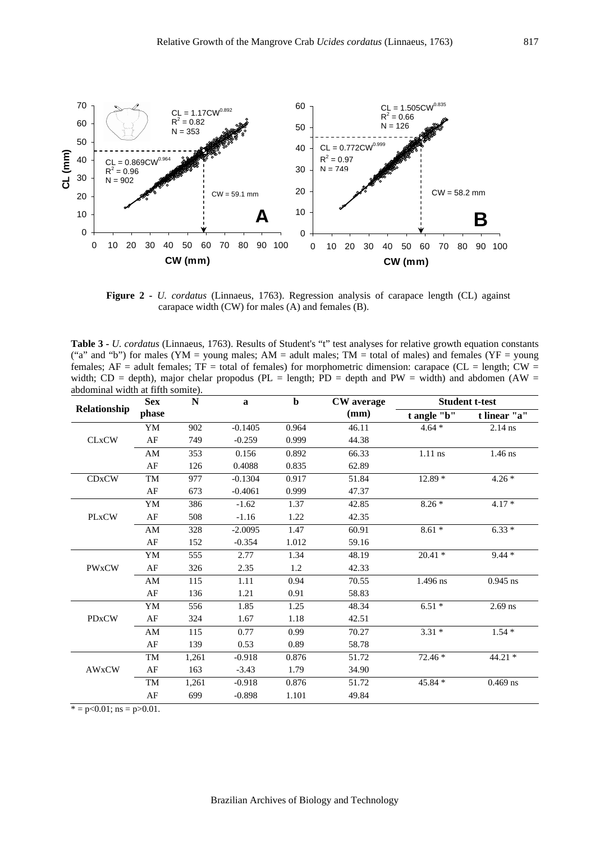

**Figure 2 -** *U. cordatus* (Linnaeus, 1763). Regression analysis of carapace length (CL) against carapace width (CW) for males (A) and females (B).

**Table 3 -** *U. cordatus* (Linnaeus, 1763). Results of Student's "t" test analyses for relative growth equation constants ("a" and "b") for males (YM = young males; AM = adult males; TM = total of males) and females (YF = young females;  $AF =$  adult females;  $TF =$  total of females) for morphometric dimension: carapace (CL = length; CW = width; CD = depth), major chelar propodus (PL = length; PD = depth and PW = width) and abdomen (AW = abdominal width at fifth somite).

|              | <b>Sex</b>             | ${\bf N}$ | $\mathbf{a}$ | $\mathbf b$ | <b>CW</b> average | <b>Student t-test</b> |                     |  |
|--------------|------------------------|-----------|--------------|-------------|-------------------|-----------------------|---------------------|--|
| Relationship | phase                  |           |              |             | (mm)              | t angle "b"           | t linear "a"        |  |
|              | YM                     | 902       | $-0.1405$    | 0.964       | 46.11             | $4.64*$               | $2.14$ ns           |  |
| <b>CLxCW</b> | AF                     | 749       | $-0.259$     | 0.999       | 44.38             |                       |                     |  |
|              | AM                     | 353       | 0.156        | 0.892       | 66.33             | $1.11$ ns             | $1.46$ ns           |  |
|              | AF                     | 126       | 0.4088       | 0.835       | 62.89             |                       |                     |  |
| <b>CDxCW</b> | TM                     | 977       | $-0.1304$    | 0.917       | 51.84             | $12.89*$              | $4.26*$             |  |
|              | AF                     | 673       | $-0.4061$    | 0.999       | 47.37             |                       |                     |  |
|              | YM                     | 386       | $-1.62$      | 1.37        | 42.85             | $8.26*$               | $4.17*$             |  |
| <b>PLxCW</b> | AF                     | 508       | $-1.16$      | 1.22        | 42.35             |                       |                     |  |
|              | AM                     | 328       | $-2.0095$    | 1.47        | 60.91             | $8.61*$               | $6.33*$             |  |
|              | AF                     | 152       | $-0.354$     | 1.012       | 59.16             |                       |                     |  |
|              | YM                     | 555       | 2.77         | 1.34        | 48.19             | $20.41*$              | $9.44*$             |  |
| <b>PWxCW</b> | AF                     | 326       | 2.35         | 1.2         | 42.33             |                       |                     |  |
|              | $\mathbf{A}\mathbf{M}$ | 115       | 1.11         | 0.94        | 70.55             | 1.496 ns              | $0.945~\mathrm{ns}$ |  |
|              | AF                     | 136       | 1.21         | 0.91        | 58.83             |                       |                     |  |
|              | YM                     | 556       | 1.85         | 1.25        | 48.34             | $6.51*$               | $2.69$ ns           |  |
| <b>PDxCW</b> | AF                     | 324       | 1.67         | 1.18        | 42.51             |                       |                     |  |
|              | AM                     | 115       | 0.77         | 0.99        | 70.27             | $3.31*$               | $1.54*$             |  |
|              | AF                     | 139       | 0.53         | 0.89        | 58.78             |                       |                     |  |
|              | TM                     | 1,261     | $-0.918$     | 0.876       | 51.72             | 72.46 *               | $44.21*$            |  |
| <b>AWxCW</b> | $\rm AF$               | 163       | $-3.43$      | 1.79        | 34.90             |                       |                     |  |
|              | TM                     | 1,261     | $-0.918$     | 0.876       | 51.72             | 45.84 *               | $0.469$ ns          |  |
|              | AF                     | 699       | $-0.898$     | 1.101       | 49.84             |                       |                     |  |

 $\overline{e} = p \le 0.01$ ; ns = p $> 0.01$ .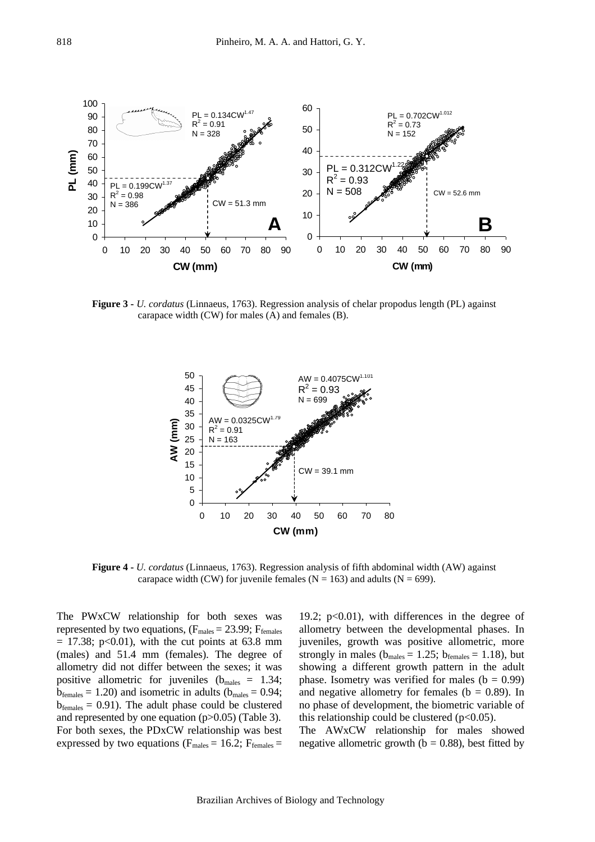

**Figure 3 -** *U. cordatus* (Linnaeus, 1763). Regression analysis of chelar propodus length (PL) against carapace width (CW) for males (A) and females (B).



**Figure 4 -** *U. cordatus* (Linnaeus, 1763). Regression analysis of fifth abdominal width (AW) against carapace width (CW) for juvenile females ( $N = 163$ ) and adults ( $N = 699$ ).

The PWxCW relationship for both sexes was represented by two equations,  $(F_{\text{males}} = 23.99; F_{\text{females}})$  $= 17.38$ ; p<0.01), with the cut points at 63.8 mm (males) and 51.4 mm (females). The degree of allometry did not differ between the sexes; it was positive allometric for juveniles ( $b_{\text{males}} = 1.34$ ;  $b_{\text{females}} = 1.20$ ) and isometric in adults ( $b_{\text{males}} = 0.94$ ;  $b_{\text{females}} = 0.91$ . The adult phase could be clustered and represented by one equation (p>0.05) (Table 3). For both sexes, the PDxCW relationship was best expressed by two equations ( $F_{\text{males}} = 16.2$ ;  $F_{\text{females}} =$ 

19.2;  $p<0.01$ ), with differences in the degree of allometry between the developmental phases. In juveniles, growth was positive allometric, more strongly in males ( $b_{\text{males}} = 1.25$ ;  $b_{\text{females}} = 1.18$ ), but showing a different growth pattern in the adult phase. Isometry was verified for males  $(b = 0.99)$ and negative allometry for females ( $b = 0.89$ ). In no phase of development, the biometric variable of this relationship could be clustered  $(p<0.05)$ .

The AWxCW relationship for males showed negative allometric growth ( $b = 0.88$ ), best fitted by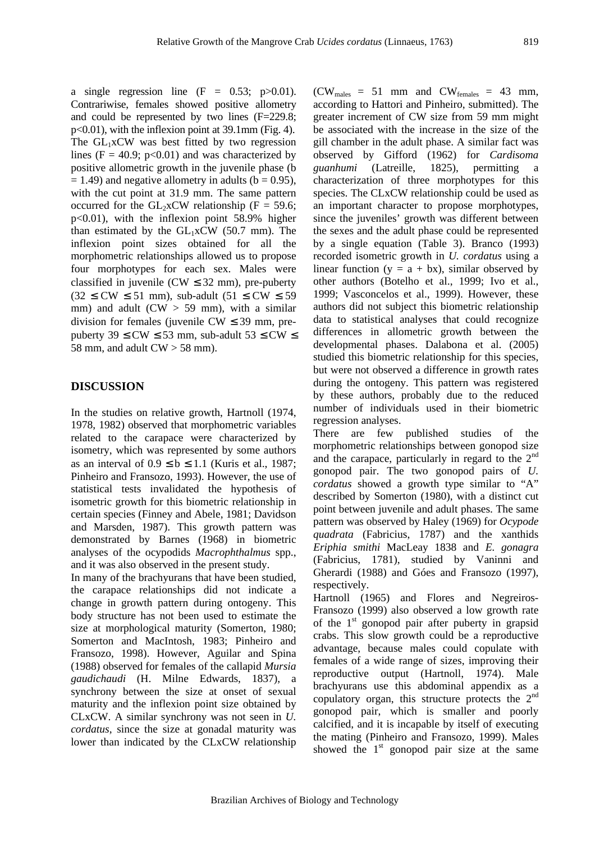a single regression line  $(F = 0.53; p > 0.01)$ . Contrariwise, females showed positive allometry and could be represented by two lines (F=229.8; p<0.01), with the inflexion point at 39.1mm (Fig. 4). The  $GL_1xCW$  was best fitted by two regression lines (F = 40.9; p<0.01) and was characterized by positive allometric growth in the juvenile phase (b  $= 1.49$ ) and negative allometry in adults (b  $= 0.95$ ), with the cut point at 31.9 mm. The same pattern occurred for the  $GL_2xCW$  relationship (F = 59.6; p<0.01), with the inflexion point 58.9% higher than estimated by the  $GL_1xCW$  (50.7 mm). The inflexion point sizes obtained for all the morphometric relationships allowed us to propose four morphotypes for each sex. Males were classified in juvenile ( $CW \leq 32$  mm), pre-puberty  $(32 \leq CW \leq 51$  mm), sub-adult  $(51 \leq CW \leq 59$ mm) and adult ( $CW > 59$  mm), with a similar division for females (juvenile  $CW \leq 39$  mm, prepuberty 39  $\leq$  CW  $\leq$  53 mm, sub-adult 53  $\leq$  CW  $\leq$ 58 mm, and adult  $CW > 58$  mm).

## **DISCUSSION**

In the studies on relative growth, Hartnoll (1974, 1978, 1982) observed that morphometric variables related to the carapace were characterized by isometry, which was represented by some authors as an interval of  $0.9 \le b \le 1.1$  (Kuris et al., 1987; Pinheiro and Fransozo, 1993). However, the use of statistical tests invalidated the hypothesis of isometric growth for this biometric relationship in certain species (Finney and Abele, 1981; Davidson and Marsden, 1987). This growth pattern was demonstrated by Barnes (1968) in biometric analyses of the ocypodids *Macrophthalmus* spp., and it was also observed in the present study.

In many of the brachyurans that have been studied, the carapace relationships did not indicate a change in growth pattern during ontogeny. This body structure has not been used to estimate the size at morphological maturity (Somerton, 1980; Somerton and MacIntosh, 1983; Pinheiro and Fransozo, 1998). However, Aguilar and Spina (1988) observed for females of the callapid *Mursia gaudichaudi* (H. Milne Edwards, 1837), a synchrony between the size at onset of sexual maturity and the inflexion point size obtained by CLxCW. A similar synchrony was not seen in *U. cordatus*, since the size at gonadal maturity was lower than indicated by the CLxCW relationship

 $(CW_{males} = 51$  mm and  $CW_{females} = 43$  mm, according to Hattori and Pinheiro, submitted). The greater increment of CW size from 59 mm might be associated with the increase in the size of the gill chamber in the adult phase. A similar fact was observed by Gifford (1962) for *Cardisoma guanhumi* (Latreille, 1825), permitting characterization of three morphotypes for this species. The CLxCW relationship could be used as an important character to propose morphotypes, since the juveniles' growth was different between the sexes and the adult phase could be represented by a single equation (Table 3). Branco (1993) recorded isometric growth in *U. cordatus* using a linear function ( $y = a + bx$ ), similar observed by other authors (Botelho et al., 1999; Ivo et al., 1999; Vasconcelos et al., 1999). However, these authors did not subject this biometric relationship data to statistical analyses that could recognize differences in allometric growth between the developmental phases. Dalabona et al. (2005) studied this biometric relationship for this species, but were not observed a difference in growth rates during the ontogeny. This pattern was registered by these authors, probably due to the reduced number of individuals used in their biometric regression analyses.

There are few published studies of the morphometric relationships between gonopod size and the carapace, particularly in regard to the  $2<sup>nd</sup>$ gonopod pair. The two gonopod pairs of *U. cordatus* showed a growth type similar to "A" described by Somerton (1980), with a distinct cut point between juvenile and adult phases. The same pattern was observed by Haley (1969) for *Ocypode quadrata* (Fabricius, 1787) and the xanthids *Eriphia smithi* MacLeay 1838 and *E. gonagra*  (Fabricius, 1781), studied by Vaninni and Gherardi (1988) and Góes and Fransozo (1997), respectively.

Hartnoll (1965) and Flores and Negreiros-Fransozo (1999) also observed a low growth rate of the  $1<sup>st</sup>$  gonopod pair after puberty in grapsid crabs. This slow growth could be a reproductive advantage, because males could copulate with females of a wide range of sizes, improving their reproductive output (Hartnoll, 1974). Male brachyurans use this abdominal appendix as a copulatory organ, this structure protects the  $2<sup>nd</sup>$ gonopod pair, which is smaller and poorly calcified, and it is incapable by itself of executing the mating (Pinheiro and Fransozo, 1999). Males showed the  $1<sup>st</sup>$  gonopod pair size at the same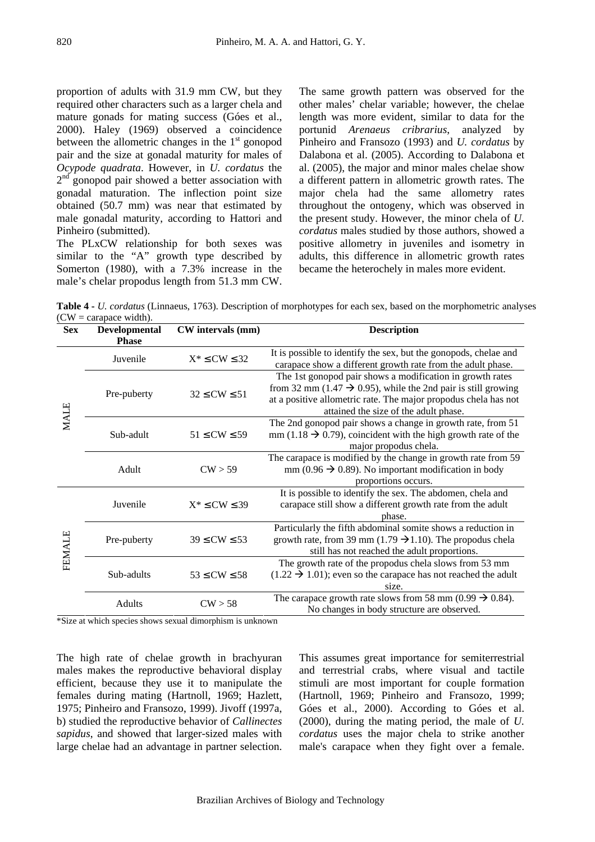proportion of adults with 31.9 mm CW, but they required other characters such as a larger chela and mature gonads for mating success (Góes et al., 2000). Haley (1969) observed a coincidence between the allometric changes in the  $1<sup>st</sup>$  gonopod pair and the size at gonadal maturity for males of *Ocypode quadrata*. However, in *U. cordatus* the  $2<sup>nd</sup>$  gonopod pair showed a better association with gonadal maturation. The inflection point size obtained (50.7 mm) was near that estimated by male gonadal maturity, according to Hattori and Pinheiro (submitted).

The PLxCW relationship for both sexes was similar to the "A" growth type described by Somerton (1980), with a 7.3% increase in the male's chelar propodus length from 51.3 mm CW.

The same growth pattern was observed for the other males' chelar variable; however, the chelae length was more evident, similar to data for the portunid *Arenaeus cribrarius*, analyzed by Pinheiro and Fransozo (1993) and *U. cordatus* by Dalabona et al. (2005). According to Dalabona et al. (2005), the major and minor males chelae show a different pattern in allometric growth rates. The major chela had the same allometry rates throughout the ontogeny, which was observed in the present study. However, the minor chela of *U. cordatus* males studied by those authors, showed a positive allometry in juveniles and isometry in adults, this difference in allometric growth rates became the heterochely in males more evident.

**Table 4 -** *U. cordatus* (Linnaeus, 1763). Description of morphotypes for each sex, based on the morphometric analyses  $(CW = \text{carspace width}).$ 

| <b>Sex</b>    | <b>Developmental</b><br><b>Phase</b> | CW intervals (mm)      | <b>Description</b>                                                                                                                                                                                                                                 |  |  |
|---------------|--------------------------------------|------------------------|----------------------------------------------------------------------------------------------------------------------------------------------------------------------------------------------------------------------------------------------------|--|--|
| MALE          | Juvenile                             | $X^* \leq CW \leq 32$  | It is possible to identify the sex, but the gonopods, chelae and<br>carapace show a different growth rate from the adult phase.                                                                                                                    |  |  |
|               | Pre-puberty                          | $32 \leq$ CW $\leq 51$ | The 1st gonopod pair shows a modification in growth rates<br>from 32 mm (1.47 $\rightarrow$ 0.95), while the 2nd pair is still growing<br>at a positive allometric rate. The major propodus chela has not<br>attained the size of the adult phase. |  |  |
|               | Sub-adult                            | $51 \leq CW \leq 59$   | The 2nd gonopod pair shows a change in growth rate, from 51<br>mm (1.18 $\rightarrow$ 0.79), coincident with the high growth rate of the<br>major propodus chela.                                                                                  |  |  |
|               | Adult                                | CW > 59                | The carapace is modified by the change in growth rate from 59<br>mm (0.96 $\rightarrow$ 0.89). No important modification in body<br>proportions occurs.                                                                                            |  |  |
| <b>FEMALE</b> | Juvenile                             | $X^* \leq CW \leq 39$  | It is possible to identify the sex. The abdomen, chela and<br>carapace still show a different growth rate from the adult<br>phase.                                                                                                                 |  |  |
|               | Pre-puberty                          | $39 \leq$ CW $\leq 53$ | Particularly the fifth abdominal somite shows a reduction in<br>growth rate, from 39 mm (1.79 $\rightarrow$ 1.10). The propodus chela<br>still has not reached the adult proportions.                                                              |  |  |
|               | Sub-adults                           | $53 \leq CW \leq 58$   | The growth rate of the propodus chela slows from 53 mm<br>$(1.22 \rightarrow 1.01)$ ; even so the carapace has not reached the adult<br>size.                                                                                                      |  |  |
|               | Adults<br>$\cdots$                   | CW > 58                | The carapace growth rate slows from 58 mm (0.99 $\rightarrow$ 0.84).<br>No changes in body structure are observed.                                                                                                                                 |  |  |

\*Size at which species shows sexual dimorphism is unknown

The high rate of chelae growth in brachyuran males makes the reproductive behavioral display efficient, because they use it to manipulate the females during mating (Hartnoll, 1969; Hazlett, 1975; Pinheiro and Fransozo, 1999). Jivoff (1997a, b) studied the reproductive behavior of *Callinectes sapidus*, and showed that larger-sized males with large chelae had an advantage in partner selection.

This assumes great importance for semiterrestrial and terrestrial crabs, where visual and tactile stimuli are most important for couple formation (Hartnoll, 1969; Pinheiro and Fransozo, 1999; Góes et al., 2000). According to Góes et al. (2000), during the mating period, the male of *U. cordatus* uses the major chela to strike another male's carapace when they fight over a female.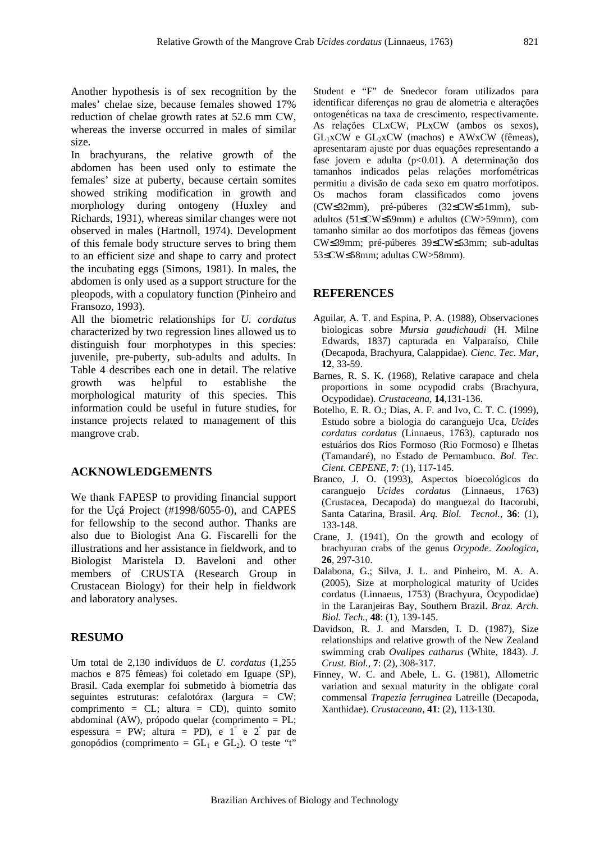Another hypothesis is of sex recognition by the males' chelae size, because females showed 17% reduction of chelae growth rates at 52.6 mm CW, whereas the inverse occurred in males of similar size.

In brachyurans, the relative growth of the abdomen has been used only to estimate the females' size at puberty, because certain somites showed striking modification in growth and morphology during ontogeny (Huxley and Richards, 1931), whereas similar changes were not observed in males (Hartnoll, 1974). Development of this female body structure serves to bring them to an efficient size and shape to carry and protect the incubating eggs (Simons, 1981). In males, the abdomen is only used as a support structure for the pleopods, with a copulatory function (Pinheiro and Fransozo, 1993).

All the biometric relationships for *U. cordatus* characterized by two regression lines allowed us to distinguish four morphotypes in this species: juvenile, pre-puberty, sub-adults and adults. In Table 4 describes each one in detail. The relative growth was helpful to establishe the morphological maturity of this species. This information could be useful in future studies, for instance projects related to management of this mangrove crab.

#### **ACKNOWLEDGEMENTS**

We thank FAPESP to providing financial support for the Uçá Project (#1998/6055-0), and CAPES for fellowship to the second author. Thanks are also due to Biologist Ana G. Fiscarelli for the illustrations and her assistance in fieldwork, and to Biologist Maristela D. Baveloni and other members of CRUSTA (Research Group in Crustacean Biology) for their help in fieldwork and laboratory analyses.

#### **RESUMO**

Um total de 2,130 indivíduos de *U. cordatus* (1,255 machos e 875 fêmeas) foi coletado em Iguape (SP), Brasil. Cada exemplar foi submetido à biometria das seguintes estruturas: cefalotórax (largura = CW; comprimento = CL; altura = CD), quinto somito abdominal (AW), própodo quelar (comprimento = PL; espessura = PW; altura = PD), e  $1^{\degree}$  e  $2^{\degree}$  par de gonopódios (comprimento =  $GL_1$  e  $GL_2$ ). O teste "t"

Student e "F" de Snedecor foram utilizados para identificar diferenças no grau de alometria e alterações ontogenéticas na taxa de crescimento, respectivamente. As relações CLxCW, PLxCW (ambos os sexos),  $GL_1xCW$  e  $GL_2xCW$  (machos) e AWxCW (fêmeas), apresentaram ajuste por duas equações representando a fase jovem e adulta  $(p<0.01)$ . A determinação dos tamanhos indicados pelas relações morfométricas permitiu a divisão de cada sexo em quatro morfotipos. Os machos foram classificados como jovens (CW≤32mm), pré-púberes (32≤CW≤51mm), subadultos (51≤CW≤59mm) e adultos (CW>59mm), com tamanho similar ao dos morfotipos das fêmeas (jovens CW≤39mm; pré-púberes 39≤CW≤53mm; sub-adultas 53≤CW≤58mm; adultas CW>58mm).

### **REFERENCES**

- Aguilar, A. T. and Espina, P. A. (1988), Observaciones biologicas sobre *Mursia gaudichaudi* (H. Milne Edwards, 1837) capturada en Valparaíso, Chile (Decapoda, Brachyura, Calappidae). *Cienc. Tec. Mar*, **12**, 33-59.
- Barnes, R. S. K. (1968), Relative carapace and chela proportions in some ocypodid crabs (Brachyura, Ocypodidae). *Crustaceana*, **14**,131-136.
- Botelho, E. R. O.; Dias, A. F. and Ivo, C. T. C. (1999), Estudo sobre a biologia do caranguejo Uca, *Ucides cordatus cordatus* (Linnaeus, 1763), capturado nos estuários dos Rios Formoso (Rio Formoso) e Ilhetas (Tamandaré), no Estado de Pernambuco. *Bol. Tec. Cient. CEPENE*, **7**: (1), 117-145.
- Branco, J. O. (1993), Aspectos bioecológicos do caranguejo *Ucides cordatus* (Linnaeus, 1763) (Crustacea, Decapoda) do manguezal do Itacorubi, Santa Catarina, Brasil. *Arq. Biol. Tecnol.*, **36**: (1), 133-148.
- Crane, J. (1941), On the growth and ecology of brachyuran crabs of the genus *Ocypode*. *Zoologica*, **26**, 297-310.
- Dalabona, G.; Silva, J. L. and Pinheiro, M. A. A. (2005), Size at morphological maturity of Ucides cordatus (Linnaeus, 1753) (Brachyura, Ocypodidae) in the Laranjeiras Bay, Southern Brazil. *Braz. Arch. Biol. Tech.*, **48**: (1), 139-145.
- Davidson, R. J. and Marsden, I. D. (1987), Size relationships and relative growth of the New Zealand swimming crab *Ovalipes catharus* (White, 1843). *J. Crust. Biol.*, **7**: (2), 308-317.
- Finney, W. C. and Abele, L. G. (1981), Allometric variation and sexual maturity in the obligate coral commensal *Trapezia ferruginea* Latreille (Decapoda, Xanthidae). *Crustaceana*, **41**: (2), 113-130.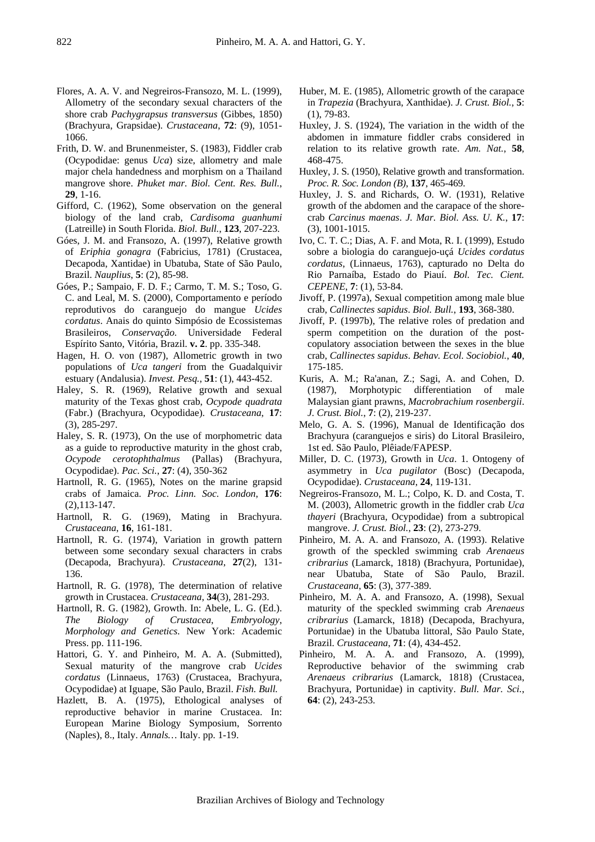- Flores, A. A. V. and Negreiros-Fransozo, M. L. (1999), Allometry of the secondary sexual characters of the shore crab *Pachygrapsus transversus* (Gibbes, 1850) (Brachyura, Grapsidae). *Crustaceana*, **72**: (9), 1051- 1066.
- Frith, D. W. and Brunenmeister, S. (1983), Fiddler crab (Ocypodidae: genus *Uca*) size, allometry and male major chela handedness and morphism on a Thailand mangrove shore. *Phuket mar. Biol. Cent. Res. Bull.*, **29**, 1-16.
- Gifford, C. (1962), Some observation on the general biology of the land crab, *Cardisoma guanhumi*  (Latreille) in South Florida. *Biol. Bull.*, **123**, 207-223.
- Góes, J. M. and Fransozo, A. (1997), Relative growth of *Eriphia gonagra* (Fabricius, 1781) (Crustacea, Decapoda, Xantidae) in Ubatuba, State of São Paulo, Brazil. *Nauplius*, **5**: (2), 85-98.
- Góes, P.; Sampaio, F. D. F.; Carmo, T. M. S.; Toso, G. C. and Leal, M. S. (2000), Comportamento e período reprodutivos do caranguejo do mangue *Ucides cordatus*. Anais do quinto Simpósio de Ecossistemas Brasileiros, *Conservação.* Universidade Federal Espírito Santo, Vitória, Brazil. **v. 2**. pp. 335-348.
- Hagen, H. O. von (1987), Allometric growth in two populations of *Uca tangeri* from the Guadalquivir estuary (Andalusia). *Invest. Pesq.*, **51**: (1), 443-452.
- Haley, S. R. (1969), Relative growth and sexual maturity of the Texas ghost crab, *Ocypode quadrata*  (Fabr.) (Brachyura, Ocypodidae). *Crustaceana*, **17**: (3), 285-297.
- Haley, S. R. (1973), On the use of morphometric data as a guide to reproductive maturity in the ghost crab, *Ocypode cerotophthalmus* (Pallas) (Brachyura, Ocypodidae). *Pac. Sci.*, **27**: (4), 350-362
- Hartnoll, R. G. (1965), Notes on the marine grapsid crabs of Jamaica. *Proc. Linn. Soc. London*, **176**: (2),113-147.
- Hartnoll, R. G. (1969), Mating in Brachyura. *Crustaceana*, **16**, 161-181.
- Hartnoll, R. G. (1974), Variation in growth pattern between some secondary sexual characters in crabs (Decapoda, Brachyura). *Crustaceana*, **27**(2), 131- 136.
- Hartnoll, R. G. (1978), The determination of relative growth in Crustacea. *Crustaceana*, **34**(3), 281-293.
- Hartnoll, R. G. (1982), Growth. In: Abele, L. G. (Ed.). *The Biology of Crustacea*, *Embryology*, *Morphology and Genetics*. New York: Academic Press. pp. 111-196.
- Hattori, G. Y. and Pinheiro, M. A. A. (Submitted), Sexual maturity of the mangrove crab *Ucides cordatus* (Linnaeus, 1763) (Crustacea, Brachyura, Ocypodidae) at Iguape, São Paulo, Brazil. *Fish. Bull.*
- Hazlett, B. A. (1975), Ethological analyses of reproductive behavior in marine Crustacea. In: European Marine Biology Symposium, Sorrento (Naples), 8., Italy. *Annals…* Italy. pp. 1-19.
- Huber, M. E. (1985), Allometric growth of the carapace in *Trapezia* (Brachyura, Xanthidae). *J. Crust. Biol.*, **5**: (1), 79-83.
- Huxley, J. S. (1924), The variation in the width of the abdomen in immature fiddler crabs considered in relation to its relative growth rate. *Am. Nat.*, **58**, 468-475.
- Huxley, J. S. (1950), Relative growth and transformation. *Proc. R. Soc. London (B)*, **137**, 465-469.
- Huxley, J. S. and Richards, O. W. (1931), Relative growth of the abdomen and the carapace of the shorecrab *Carcinus maenas*. *J. Mar. Biol. Ass. U. K.*, **17**: (3), 1001-1015.
- Ivo, C. T. C.; Dias, A. F. and Mota, R. I. (1999), Estudo sobre a biologia do caranguejo-uçá *Ucides cordatus cordatus*, (Linnaeus, 1763), capturado no Delta do Rio Parnaíba, Estado do Piauí. *Bol. Tec. Cient. CEPENE*, **7**: (1), 53-84.
- Jivoff, P. (1997a), Sexual competition among male blue crab, *Callinectes sapidus*. *Biol. Bull.*, **193**, 368-380.
- Jivoff, P. (1997b), The relative roles of predation and sperm competition on the duration of the postcopulatory association between the sexes in the blue crab, *Callinectes sapidus*. *Behav. Ecol. Sociobiol.*, **40**, 175-185.
- Kuris, A. M.; Ra'anan, Z.; Sagi, A. and Cohen, D. (1987), Morphotypic differentiation of male Malaysian giant prawns, *Macrobrachium rosenbergii*. *J. Crust. Biol.*, **7**: (2), 219-237.
- Melo, G. A. S. (1996), Manual de Identificação dos Brachyura (caranguejos e siris) do Litoral Brasileiro, 1st ed. São Paulo, Plêiade/FAPESP.
- Miller, D. C. (1973), Growth in *Uca*. 1. Ontogeny of asymmetry in *Uca pugilator* (Bosc) (Decapoda, Ocypodidae). *Crustaceana*, **24**, 119-131.
- Negreiros-Fransozo, M. L.; Colpo, K. D. and Costa, T. M. (2003), Allometric growth in the fiddler crab *Uca thayeri* (Brachyura, Ocypodidae) from a subtropical mangrove. *J. Crust. Biol.*, **23**: (2), 273-279.
- Pinheiro, M. A. A. and Fransozo, A. (1993). Relative growth of the speckled swimming crab *Arenaeus cribrarius* (Lamarck, 1818) (Brachyura, Portunidae), near Ubatuba, State of São Paulo, Brazil. *Crustaceana*, **65**: (3), 377-389.
- Pinheiro, M. A. A. and Fransozo, A. (1998), Sexual maturity of the speckled swimming crab *Arenaeus cribrarius* (Lamarck, 1818) (Decapoda, Brachyura, Portunidae) in the Ubatuba littoral, São Paulo State, Brazil. *Crustaceana*, **71**: (4), 434-452.
- Pinheiro, M. A. A. and Fransozo, A. (1999), Reproductive behavior of the swimming crab *Arenaeus cribrarius* (Lamarck, 1818) (Crustacea, Brachyura, Portunidae) in captivity. *Bull. Mar. Sci.*, **64**: (2), 243-253.